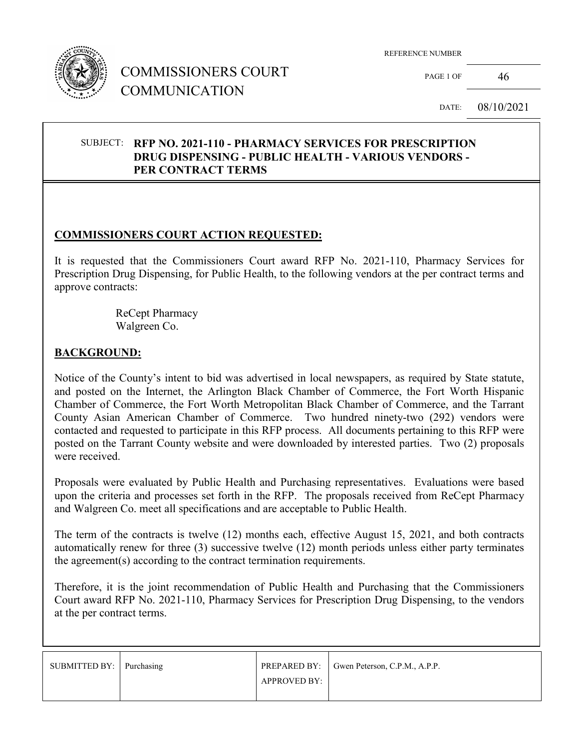

## COMMISSIONERS COURT COMMUNICATION

REFERENCE NUMBER

PAGE 1 OF  $46$ 

DATE: 08/10/2021

#### SUBJECT: **RFP NO. 2021-110 - PHARMACY SERVICES FOR PRESCRIPTION DRUG DISPENSING - PUBLIC HEALTH - VARIOUS VENDORS - PER CONTRACT TERMS**

### **COMMISSIONERS COURT ACTION REQUESTED:**

It is requested that the Commissioners Court award RFP No. 2021-110, Pharmacy Services for Prescription Drug Dispensing, for Public Health, to the following vendors at the per contract terms and approve contracts:

> ReCept Pharmacy Walgreen Co.

### **BACKGROUND:**

Notice of the County's intent to bid was advertised in local newspapers, as required by State statute, and posted on the Internet, the Arlington Black Chamber of Commerce, the Fort Worth Hispanic Chamber of Commerce, the Fort Worth Metropolitan Black Chamber of Commerce, and the Tarrant County Asian American Chamber of Commerce. Two hundred ninety-two (292) vendors were contacted and requested to participate in this RFP process. All documents pertaining to this RFP were posted on the Tarrant County website and were downloaded by interested parties. Two (2) proposals were received.

Proposals were evaluated by Public Health and Purchasing representatives. Evaluations were based upon the criteria and processes set forth in the RFP. The proposals received from ReCept Pharmacy and Walgreen Co. meet all specifications and are acceptable to Public Health.

The term of the contracts is twelve (12) months each, effective August 15, 2021, and both contracts automatically renew for three (3) successive twelve (12) month periods unless either party terminates the agreement(s) according to the contract termination requirements.

Therefore, it is the joint recommendation of Public Health and Purchasing that the Commissioners Court award RFP No. 2021-110, Pharmacy Services for Prescription Drug Dispensing, to the vendors at the per contract terms.

| SUBMITTED BY: Purchasing |                     | <b>PREPARED BY:</b> Gwen Peterson, C.P.M., A.P.P. |
|--------------------------|---------------------|---------------------------------------------------|
|                          | <b>APPROVED BY:</b> |                                                   |